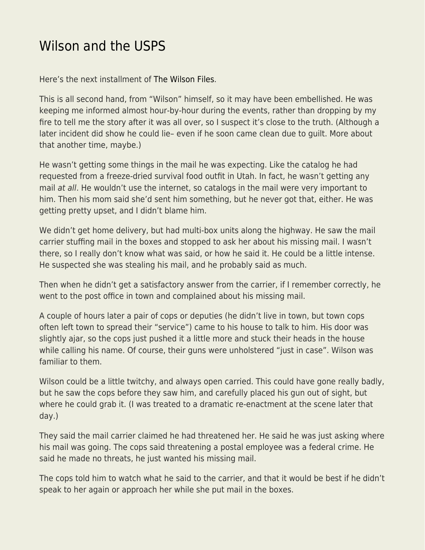## [Wilson and the USPS](https://everything-voluntary.com/wilson-and-the-usps)

Here's the next installment of [The Wilson Files.](https://blog.kentforliberty.com/2018/11/wilson-stubborn.html)

This is all second hand, from "Wilson" himself, so it may have been embellished. He was keeping me informed almost hour-by-hour during the events, rather than dropping by my fire to tell me the story after it was all over, so I suspect it's close to the truth. (Although a later incident did show he could lie– even if he soon came clean due to guilt. More about that another time, maybe.)

He wasn't getting some things in the mail he was expecting. Like the catalog he had requested from a freeze-dried survival food outfit in Utah. In fact, he wasn't getting any mail at all. He wouldn't use the internet, so catalogs in the mail were very important to him. Then his mom said she'd sent him something, but he never got that, either. He was getting pretty upset, and I didn't blame him.

We didn't get home delivery, but had multi-box units along the highway. He saw the mail carrier stuffing mail in the boxes and stopped to ask her about his missing mail. I wasn't there, so I really don't know what was said, or how he said it. He could be a little intense. He suspected she was stealing his mail, and he probably said as much.

Then when he didn't get a satisfactory answer from the carrier, if I remember correctly, he went to the post office in town and complained about his missing mail.

A couple of hours later a pair of cops or deputies (he didn't live in town, but town cops often left town to spread their "service") came to his house to talk to him. His door was slightly ajar, so the cops just pushed it a little more and stuck their heads in the house while calling his name. Of course, their guns were unholstered "just in case". Wilson was familiar to them.

Wilson could be a little twitchy, and always open carried. This could have gone really badly, but he saw the cops before they saw him, and carefully placed his gun out of sight, but where he could grab it. (I was treated to a dramatic re-enactment at the scene later that day.)

They said the mail carrier claimed he had threatened her. He said he was just asking where his mail was going. The cops said threatening a postal employee was a federal crime. He said he made no threats, he just wanted his missing mail.

The cops told him to watch what he said to the carrier, and that it would be best if he didn't speak to her again or approach her while she put mail in the boxes.